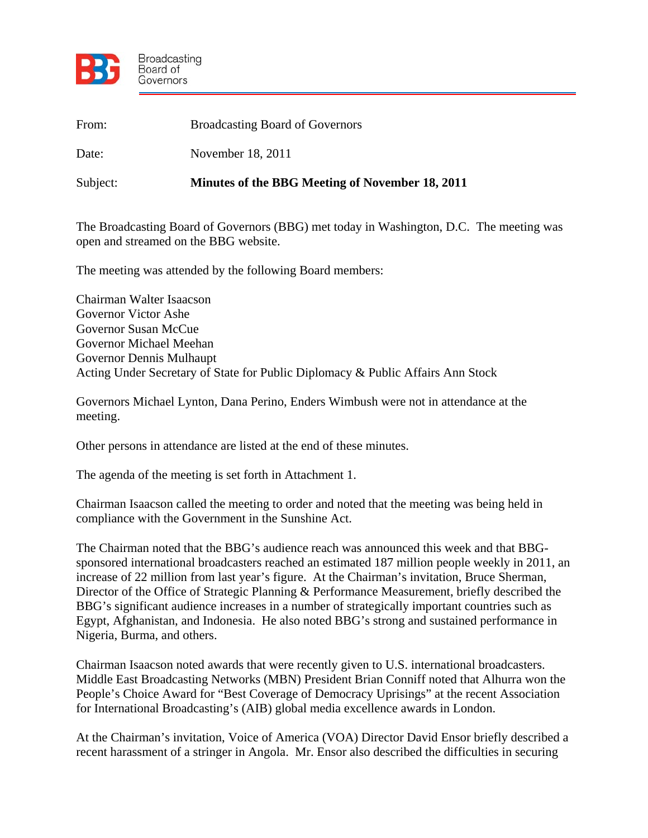

| From:    | <b>Broadcasting Board of Governors</b>          |
|----------|-------------------------------------------------|
| Date:    | November 18, 2011                               |
| Subject: | Minutes of the BBG Meeting of November 18, 2011 |

The Broadcasting Board of Governors (BBG) met today in Washington, D.C. The meeting was open and streamed on the BBG website.

The meeting was attended by the following Board members:

Chairman Walter Isaacson Governor Victor Ashe Governor Susan McCue Governor Michael Meehan Governor Dennis Mulhaupt Acting Under Secretary of State for Public Diplomacy & Public Affairs Ann Stock

Governors Michael Lynton, Dana Perino, Enders Wimbush were not in attendance at the meeting.

Other persons in attendance are listed at the end of these minutes.

The agenda of the meeting is set forth in Attachment 1.

Chairman Isaacson called the meeting to order and noted that the meeting was being held in compliance with the Government in the Sunshine Act.

The Chairman noted that the BBG's audience reach was announced this week and that BBGsponsored international broadcasters reached an estimated 187 million people weekly in 2011, an increase of 22 million from last year's figure. At the Chairman's invitation, Bruce Sherman, Director of the Office of Strategic Planning & Performance Measurement, briefly described the BBG's significant audience increases in a number of strategically important countries such as Egypt, Afghanistan, and Indonesia. He also noted BBG's strong and sustained performance in Nigeria, Burma, and others.

Chairman Isaacson noted awards that were recently given to U.S. international broadcasters. Middle East Broadcasting Networks (MBN) President Brian Conniff noted that Alhurra won the People's Choice Award for "Best Coverage of Democracy Uprisings" at the recent Association for International Broadcasting's (AIB) global media excellence awards in London.

At the Chairman's invitation, Voice of America (VOA) Director David Ensor briefly described a recent harassment of a stringer in Angola. Mr. Ensor also described the difficulties in securing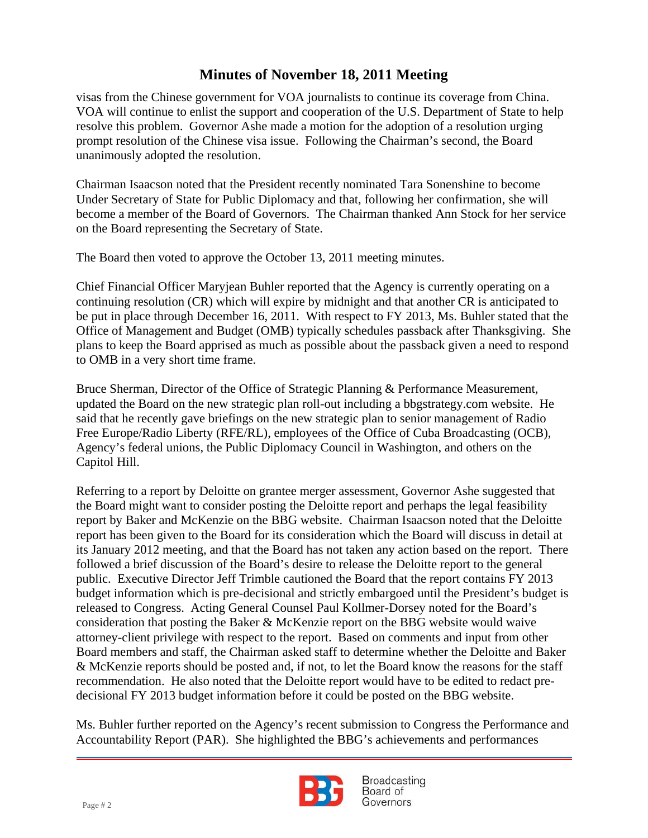unanimously adopted the resolution. visas from the Chinese government for VOA journalists to continue its coverage from China. VOA will continue to enlist the support and cooperation of the U.S. Department of State to help resolve this problem. Governor Ashe made a motion for the adoption of a resolution urging prompt resolution of the Chinese visa issue. Following the Chairman's second, the Board

Chairman Isaacson noted that the President recently nominated Tara Sonenshine to become Under Secretary of State for Public Diplomacy and that, following her confirmation, she will become a member of the Board of Governors. The Chairman thanked Ann Stock for her service on the Board representing the Secretary of State.

The Board then voted to approve the October 13, 2011 meeting minutes.

Chief Financial Officer Maryjean Buhler reported that the Agency is currently operating on a continuing resolution (CR) which will expire by midnight and that another CR is anticipated to be put in place through December 16, 2011. With respect to FY 2013, Ms. Buhler stated that the Office of Management and Budget (OMB) typically schedules passback after Thanksgiving. She plans to keep the Board apprised as much as possible about the passback given a need to respond to OMB in a very short time frame.

Bruce Sherman, Director of the Office of Strategic Planning & Performance Measurement, updated the Board on the new strategic plan roll-out including a bbgstrategy.com website. He said that he recently gave briefings on the new strategic plan to senior management of Radio Free Europe/Radio Liberty (RFE/RL), employees of the Office of Cuba Broadcasting (OCB), Agency's federal unions, the Public Diplomacy Council in Washington, and others on the Capitol Hill.

Referring to a report by Deloitte on grantee merger assessment, Governor Ashe suggested that the Board might want to consider posting the Deloitte report and perhaps the legal feasibility report by Baker and McKenzie on the BBG website. Chairman Isaacson noted that the Deloitte report has been given to the Board for its consideration which the Board will discuss in detail at its January 2012 meeting, and that the Board has not taken any action based on the report. There followed a brief discussion of the Board's desire to release the Deloitte report to the general public. Executive Director Jeff Trimble cautioned the Board that the report contains FY 2013 budget information which is pre-decisional and strictly embargoed until the President's budget is released to Congress. Acting General Counsel Paul Kollmer-Dorsey noted for the Board's consideration that posting the Baker & McKenzie report on the BBG website would waive attorney-client privilege with respect to the report. Based on comments and input from other Board members and staff, the Chairman asked staff to determine whether the Deloitte and Baker & McKenzie reports should be posted and, if not, to let the Board know the reasons for the staff recommendation. He also noted that the Deloitte report would have to be edited to redact predecisional FY 2013 budget information before it could be posted on the BBG website.

Ms. Buhler further reported on the Agency's recent submission to Congress the Performance and Accountability Report (PAR). She highlighted the BBG's achievements and performances

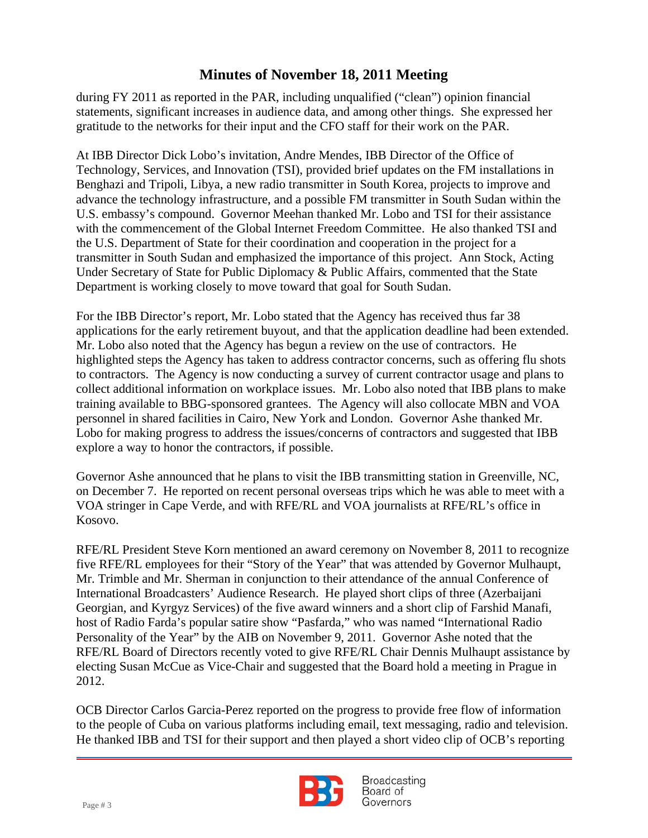during FY 2011 as reported in the PAR, including unqualified ("clean") opinion financial statements, significant increases in audience data, and among other things. She expressed her gratitude to the networks for their input and the CFO staff for their work on the PAR.

 At IBB Director Dick Lobo's invitation, Andre Mendes, IBB Director of the Office of Technology, Services, and Innovation (TSI), provided brief updates on the FM installations in Benghazi and Tripoli, Libya, a new radio transmitter in South Korea, projects to improve and advance the technology infrastructure, and a possible FM transmitter in South Sudan within the U.S. embassy's compound. Governor Meehan thanked Mr. Lobo and TSI for their assistance with the commencement of the Global Internet Freedom Committee. He also thanked TSI and the U.S. Department of State for their coordination and cooperation in the project for a transmitter in South Sudan and emphasized the importance of this project. Ann Stock, Acting Under Secretary of State for Public Diplomacy & Public Affairs, commented that the State Department is working closely to move toward that goal for South Sudan.

For the IBB Director's report, Mr. Lobo stated that the Agency has received thus far 38 applications for the early retirement buyout, and that the application deadline had been extended. Mr. Lobo also noted that the Agency has begun a review on the use of contractors. He highlighted steps the Agency has taken to address contractor concerns, such as offering flu shots to contractors. The Agency is now conducting a survey of current contractor usage and plans to collect additional information on workplace issues. Mr. Lobo also noted that IBB plans to make training available to BBG-sponsored grantees. The Agency will also collocate MBN and VOA personnel in shared facilities in Cairo, New York and London. Governor Ashe thanked Mr. Lobo for making progress to address the issues/concerns of contractors and suggested that IBB explore a way to honor the contractors, if possible.

Governor Ashe announced that he plans to visit the IBB transmitting station in Greenville, NC, on December 7. He reported on recent personal overseas trips which he was able to meet with a VOA stringer in Cape Verde, and with RFE/RL and VOA journalists at RFE/RL's office in Kosovo.

RFE/RL President Steve Korn mentioned an award ceremony on November 8, 2011 to recognize five RFE/RL employees for their "Story of the Year" that was attended by Governor Mulhaupt, Mr. Trimble and Mr. Sherman in conjunction to their attendance of the annual Conference of International Broadcasters' Audience Research. He played short clips of three (Azerbaijani Georgian, and Kyrgyz Services) of the five award winners and a short clip of Farshid Manafi, host of Radio Farda's popular satire show "Pasfarda," who was named "International Radio Personality of the Year" by the AIB on November 9, 2011. Governor Ashe noted that the RFE/RL Board of Directors recently voted to give RFE/RL Chair Dennis Mulhaupt assistance by electing Susan McCue as Vice-Chair and suggested that the Board hold a meeting in Prague in 2012.

OCB Director Carlos Garcia-Perez reported on the progress to provide free flow of information to the people of Cuba on various platforms including email, text messaging, radio and television. He thanked IBB and TSI for their support and then played a short video clip of OCB's reporting

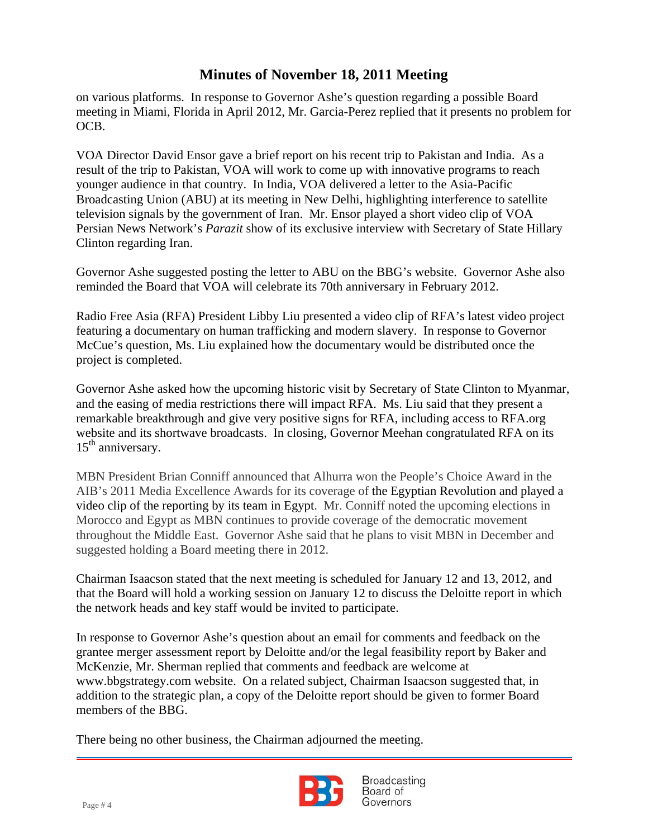on various platforms. In response to Governor Ashe's question regarding a possible Board meeting in Miami, Florida in April 2012, Mr. Garcia-Perez replied that it presents no problem for OCB.

 VOA Director David Ensor gave a brief report on his recent trip to Pakistan and India. As a result of the trip to Pakistan, VOA will work to come up with innovative programs to reach younger audience in that country. In India, VOA delivered a letter to the Asia-Pacific Broadcasting Union (ABU) at its meeting in New Delhi, highlighting interference to satellite television signals by the government of Iran. Mr. Ensor played a short video clip of VOA Persian News Network's *Parazit* show of its exclusive interview with Secretary of State Hillary Clinton regarding Iran.

Governor Ashe suggested posting the letter to ABU on the BBG's website. Governor Ashe also reminded the Board that VOA will celebrate its 70th anniversary in February 2012.

Radio Free Asia (RFA) President Libby Liu presented a video clip of RFA's latest video project featuring a documentary on human trafficking and modern slavery. In response to Governor McCue's question, Ms. Liu explained how the documentary would be distributed once the project is completed.

Governor Ashe asked how the upcoming historic visit by Secretary of State Clinton to Myanmar, and the easing of media restrictions there will impact RFA. Ms. Liu said that they present a remarkable breakthrough and give very positive signs for RFA, including access to RFA.org website and its shortwave broadcasts. In closing, Governor Meehan congratulated RFA on its  $15<sup>th</sup>$  anniversary.

MBN President Brian Conniff announced that Alhurra won the People's Choice Award in the AIB's 2011 Media Excellence Awards for its coverage of the Egyptian Revolution and played a video clip of the reporting by its team in Egypt. Mr. Conniff noted the upcoming elections in Morocco and Egypt as MBN continues to provide coverage of the democratic movement throughout the Middle East. Governor Ashe said that he plans to visit MBN in December and suggested holding a Board meeting there in 2012.

Chairman Isaacson stated that the next meeting is scheduled for January 12 and 13, 2012, and that the Board will hold a working session on January 12 to discuss the Deloitte report in which the network heads and key staff would be invited to participate.

In response to Governor Ashe's question about an email for comments and feedback on the grantee merger assessment report by Deloitte and/or the legal feasibility report by Baker and McKenzie, Mr. Sherman replied that comments and feedback are welcome at www.bbgstrategy.com website. On a related subject, Chairman Isaacson suggested that, in addition to the strategic plan, a copy of the Deloitte report should be given to former Board members of the BBG.

There being no other business, the Chairman adjourned the meeting.

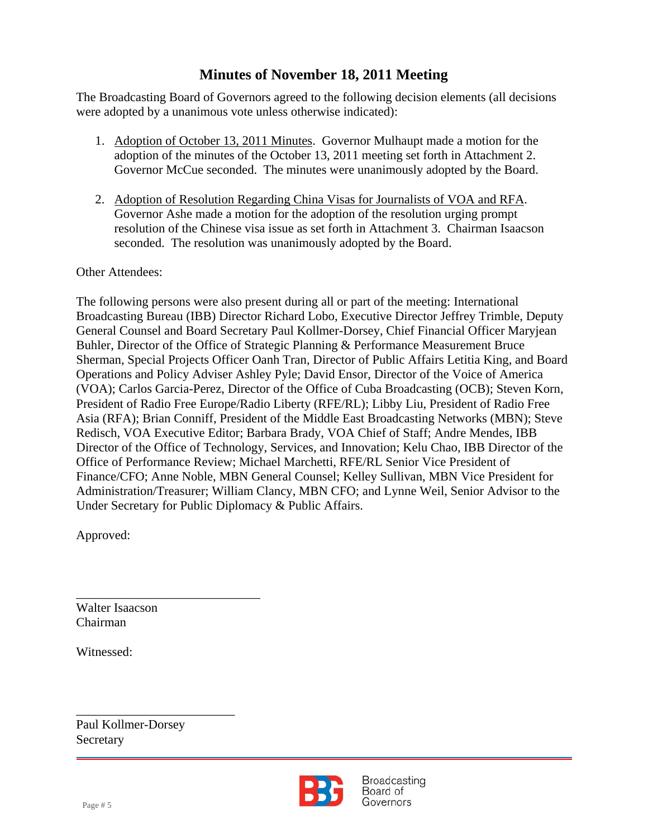The Broadcasting Board of Governors agreed to the following decision elements (all decisions were adopted by a unanimous vote unless otherwise indicated):

- 1. Adoption of October 13, 2011 Minutes. Governor Mulhaupt made a motion for the adoption of the minutes of the October 13, 2011 meeting set forth in Attachment 2. Governor McCue seconded. The minutes were unanimously adopted by the Board.
- 2. Adoption of Resolution Regarding China Visas for Journalists of VOA and RFA. Governor Ashe made a motion for the adoption of the resolution urging prompt resolution of the Chinese visa issue as set forth in Attachment 3. Chairman Isaacson seconded. The resolution was unanimously adopted by the Board.

Other Attendees:

The following persons were also present during all or part of the meeting: International Broadcasting Bureau (IBB) Director Richard Lobo, Executive Director Jeffrey Trimble, Deputy General Counsel and Board Secretary Paul Kollmer-Dorsey, Chief Financial Officer Maryjean Buhler, Director of the Office of Strategic Planning & Performance Measurement Bruce Sherman, Special Projects Officer Oanh Tran, Director of Public Affairs Letitia King, and Board Operations and Policy Adviser Ashley Pyle; David Ensor, Director of the Voice of America (VOA); Carlos Garcia-Perez, Director of the Office of Cuba Broadcasting (OCB); Steven Korn, President of Radio Free Europe/Radio Liberty (RFE/RL); Libby Liu, President of Radio Free Asia (RFA); Brian Conniff, President of the Middle East Broadcasting Networks (MBN); Steve Redisch, VOA Executive Editor; Barbara Brady, VOA Chief of Staff; Andre Mendes, IBB Director of the Office of Technology, Services, and Innovation; Kelu Chao, IBB Director of the Office of Performance Review; Michael Marchetti, RFE/RL Senior Vice President of Finance/CFO; Anne Noble, MBN General Counsel; Kelley Sullivan, MBN Vice President for Administration/Treasurer; William Clancy, MBN CFO; and Lynne Weil, Senior Advisor to the Under Secretary for Public Diplomacy & Public Affairs.

Approved:

Walter Isaacson Chairman

\_\_\_\_\_\_\_\_\_\_\_\_\_\_\_\_\_\_\_\_\_\_\_\_\_\_\_\_\_

Witnessed:

Paul Kollmer-Dorsey Secretary

\_\_\_\_\_\_\_\_\_\_\_\_\_\_\_\_\_\_\_\_\_\_\_\_\_

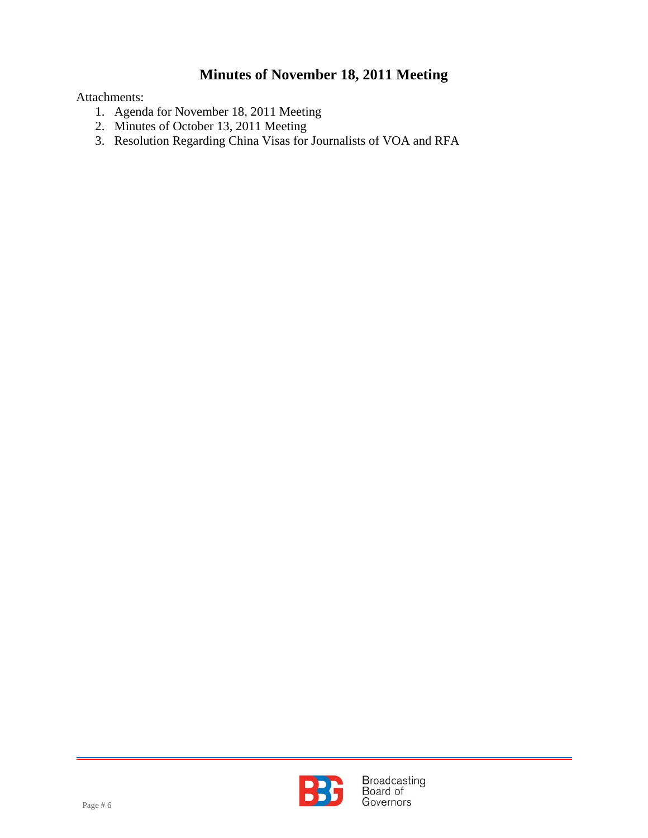Attachments:

- 1. Agenda for November 18, 2011 Meeting
- 2. Minutes of October 13, 2011 Meeting
- 3. Resolution Regarding China Visas for Journalists of VOA and RFA

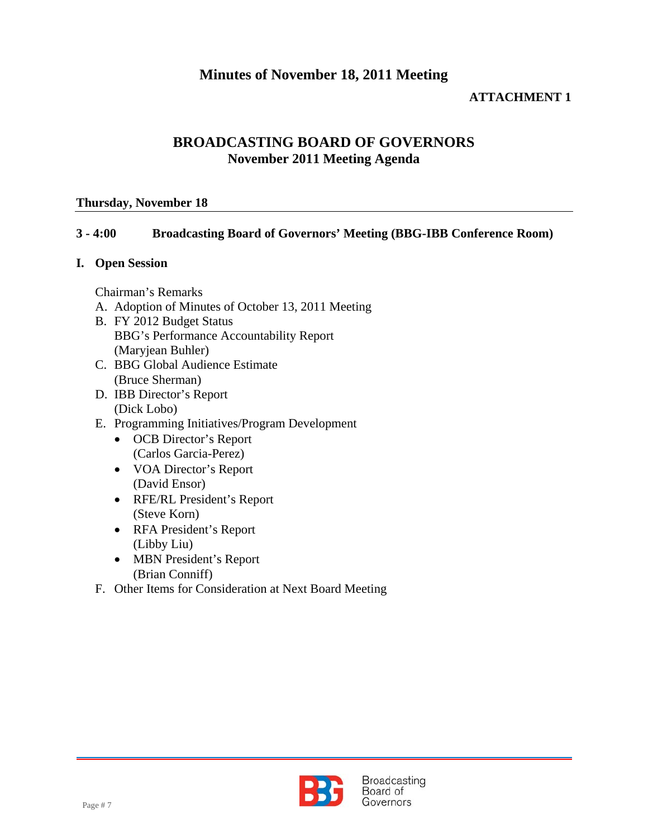### **ATTACHMENT 1**

### **BROADCASTING BOARD OF GOVERNORS November 2011 Meeting Agenda**

#### **Thursday, November 18**

#### **3 - 4:00 Broadcasting Board of Governors' Meeting (BBG-IBB Conference Room)**

#### **I. Open Session**

Chairman's Remarks

- A. Adoption of Minutes of October 13, 2011 Meeting
- B. FY 2012 Budget Status BBG's Performance Accountability Report (Maryjean Buhler)
- C. BBG Global Audience Estimate (Bruce Sherman)
- D. IBB Director's Report (Dick Lobo)
- E. Programming Initiatives/Program Development
	- OCB Director's Report (Carlos Garcia-Perez)
	- VOA Director's Report (David Ensor)
	- RFE/RL President's Report (Steve Korn)
	- RFA President's Report (Libby Liu)
	- MBN President's Report (Brian Conniff)
- F. Other Items for Consideration at Next Board Meeting

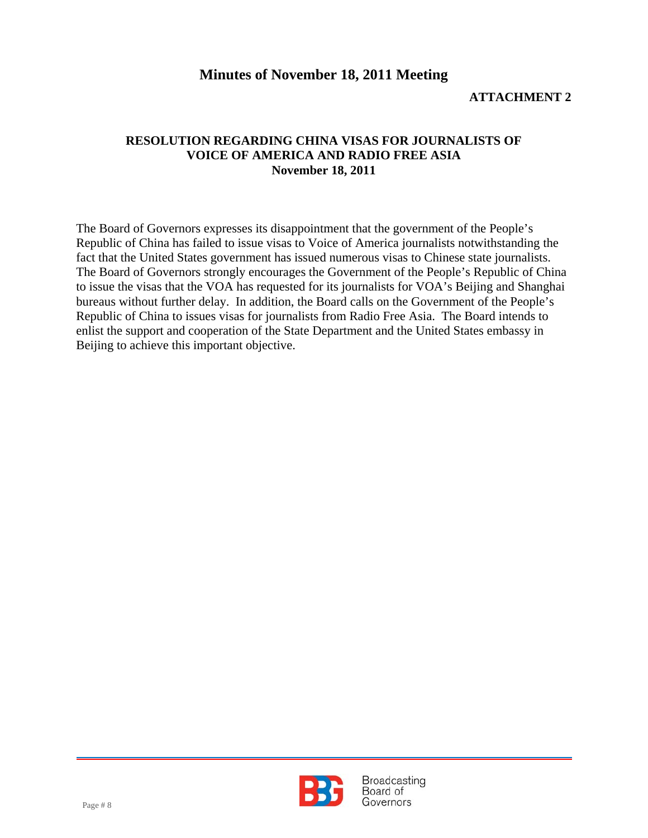### **ATTACHMENT 2**

#### **RESOLUTION REGARDING CHINA VISAS FOR JOURNALISTS OF VOICE OF AMERICA AND RADIO FREE ASIA November 18, 2011**

The Board of Governors expresses its disappointment that the government of the People's Republic of China has failed to issue visas to Voice of America journalists notwithstanding the fact that the United States government has issued numerous visas to Chinese state journalists. The Board of Governors strongly encourages the Government of the People's Republic of China to issue the visas that the VOA has requested for its journalists for VOA's Beijing and Shanghai bureaus without further delay. In addition, the Board calls on the Government of the People's Republic of China to issues visas for journalists from Radio Free Asia. The Board intends to enlist the support and cooperation of the State Department and the United States embassy in Beijing to achieve this important objective.

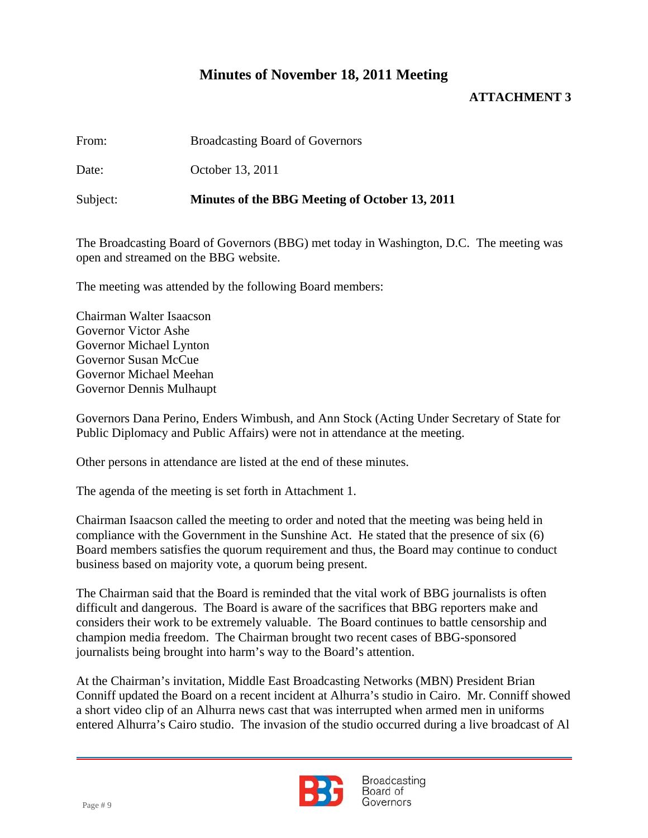### **ATTACHMENT 3**

From: Broadcasting Board of Governors

Date: October 13, 2011

Subject: **Minutes of the BBG Meeting of October 13, 2011**

The Broadcasting Board of Governors (BBG) met today in Washington, D.C. The meeting was open and streamed on the BBG website.

The meeting was attended by the following Board members:

Chairman Walter Isaacson Governor Victor Ashe Governor Michael Lynton Governor Susan McCue Governor Michael Meehan Governor Dennis Mulhaupt

Governors Dana Perino, Enders Wimbush, and Ann Stock (Acting Under Secretary of State for Public Diplomacy and Public Affairs) were not in attendance at the meeting.

Other persons in attendance are listed at the end of these minutes.

The agenda of the meeting is set forth in Attachment 1.

Chairman Isaacson called the meeting to order and noted that the meeting was being held in compliance with the Government in the Sunshine Act. He stated that the presence of six (6) Board members satisfies the quorum requirement and thus, the Board may continue to conduct business based on majority vote, a quorum being present.

The Chairman said that the Board is reminded that the vital work of BBG journalists is often difficult and dangerous. The Board is aware of the sacrifices that BBG reporters make and considers their work to be extremely valuable. The Board continues to battle censorship and champion media freedom. The Chairman brought two recent cases of BBG-sponsored journalists being brought into harm's way to the Board's attention.

At the Chairman's invitation, Middle East Broadcasting Networks (MBN) President Brian Conniff updated the Board on a recent incident at Alhurra's studio in Cairo. Mr. Conniff showed a short video clip of an Alhurra news cast that was interrupted when armed men in uniforms entered Alhurra's Cairo studio. The invasion of the studio occurred during a live broadcast of Al

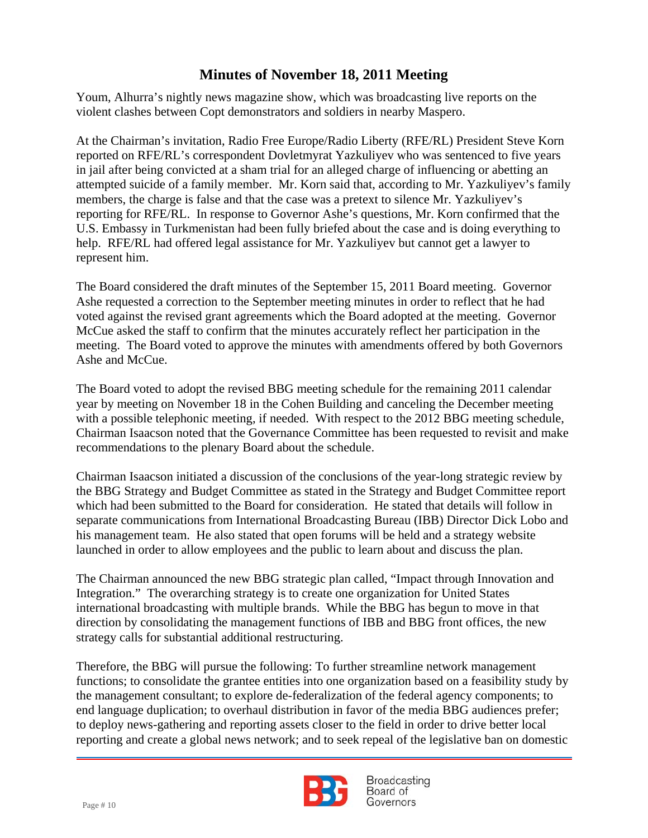Youm, Alhurra's nightly news magazine show, which was broadcasting live reports on the violent clashes between Copt demonstrators and soldiers in nearby Maspero.

 reported on RFE/RL's correspondent Dovletmyrat Yazkuliyev who was sentenced to five years At the Chairman's invitation, Radio Free Europe/Radio Liberty (RFE/RL) President Steve Korn in jail after being convicted at a sham trial for an alleged charge of influencing or abetting an attempted suicide of a family member. Mr. Korn said that, according to Mr. Yazkuliyev's family members, the charge is false and that the case was a pretext to silence Mr. Yazkuliyev's reporting for RFE/RL. In response to Governor Ashe's questions, Mr. Korn confirmed that the U.S. Embassy in Turkmenistan had been fully briefed about the case and is doing everything to help. RFE/RL had offered legal assistance for Mr. Yazkuliyev but cannot get a lawyer to represent him.

The Board considered the draft minutes of the September 15, 2011 Board meeting. Governor Ashe requested a correction to the September meeting minutes in order to reflect that he had voted against the revised grant agreements which the Board adopted at the meeting. Governor McCue asked the staff to confirm that the minutes accurately reflect her participation in the meeting. The Board voted to approve the minutes with amendments offered by both Governors Ashe and McCue.

The Board voted to adopt the revised BBG meeting schedule for the remaining 2011 calendar year by meeting on November 18 in the Cohen Building and canceling the December meeting with a possible telephonic meeting, if needed. With respect to the 2012 BBG meeting schedule, Chairman Isaacson noted that the Governance Committee has been requested to revisit and make recommendations to the plenary Board about the schedule.

Chairman Isaacson initiated a discussion of the conclusions of the year-long strategic review by the BBG Strategy and Budget Committee as stated in the Strategy and Budget Committee report which had been submitted to the Board for consideration. He stated that details will follow in separate communications from International Broadcasting Bureau (IBB) Director Dick Lobo and his management team. He also stated that open forums will be held and a strategy website launched in order to allow employees and the public to learn about and discuss the plan.

The Chairman announced the new BBG strategic plan called, "Impact through Innovation and Integration." The overarching strategy is to create one organization for United States international broadcasting with multiple brands. While the BBG has begun to move in that direction by consolidating the management functions of IBB and BBG front offices, the new strategy calls for substantial additional restructuring.

Therefore, the BBG will pursue the following: To further streamline network management functions; to consolidate the grantee entities into one organization based on a feasibility study by the management consultant; to explore de-federalization of the federal agency components; to end language duplication; to overhaul distribution in favor of the media BBG audiences prefer; to deploy news-gathering and reporting assets closer to the field in order to drive better local reporting and create a global news network; and to seek repeal of the legislative ban on domestic

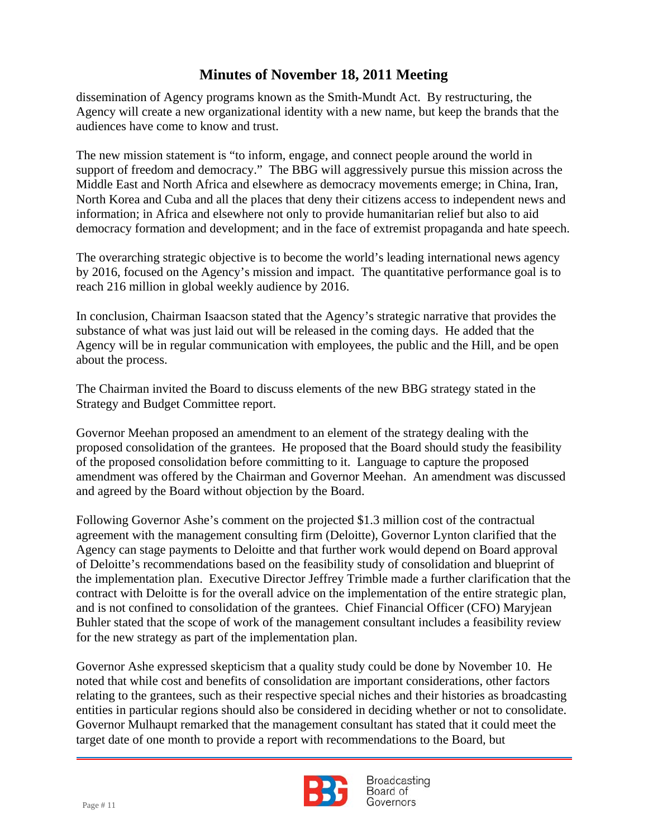dissemination of Agency programs known as the Smith-Mundt Act. By restructuring, the Agency will create a new organizational identity with a new name, but keep the brands that the audiences have come to know and trust.

 The new mission statement is "to inform, engage, and connect people around the world in support of freedom and democracy." The BBG will aggressively pursue this mission across the Middle East and North Africa and elsewhere as democracy movements emerge; in China, Iran, North Korea and Cuba and all the places that deny their citizens access to independent news and information; in Africa and elsewhere not only to provide humanitarian relief but also to aid democracy formation and development; and in the face of extremist propaganda and hate speech.

The overarching strategic objective is to become the world's leading international news agency by 2016, focused on the Agency's mission and impact. The quantitative performance goal is to reach 216 million in global weekly audience by 2016.

In conclusion, Chairman Isaacson stated that the Agency's strategic narrative that provides the substance of what was just laid out will be released in the coming days. He added that the Agency will be in regular communication with employees, the public and the Hill, and be open about the process.

The Chairman invited the Board to discuss elements of the new BBG strategy stated in the Strategy and Budget Committee report.

Governor Meehan proposed an amendment to an element of the strategy dealing with the proposed consolidation of the grantees. He proposed that the Board should study the feasibility of the proposed consolidation before committing to it. Language to capture the proposed amendment was offered by the Chairman and Governor Meehan. An amendment was discussed and agreed by the Board without objection by the Board.

Following Governor Ashe's comment on the projected \$1.3 million cost of the contractual agreement with the management consulting firm (Deloitte), Governor Lynton clarified that the Agency can stage payments to Deloitte and that further work would depend on Board approval of Deloitte's recommendations based on the feasibility study of consolidation and blueprint of the implementation plan. Executive Director Jeffrey Trimble made a further clarification that the contract with Deloitte is for the overall advice on the implementation of the entire strategic plan, and is not confined to consolidation of the grantees. Chief Financial Officer (CFO) Maryjean Buhler stated that the scope of work of the management consultant includes a feasibility review for the new strategy as part of the implementation plan.

Governor Ashe expressed skepticism that a quality study could be done by November 10. He noted that while cost and benefits of consolidation are important considerations, other factors relating to the grantees, such as their respective special niches and their histories as broadcasting entities in particular regions should also be considered in deciding whether or not to consolidate. Governor Mulhaupt remarked that the management consultant has stated that it could meet the target date of one month to provide a report with recommendations to the Board, but

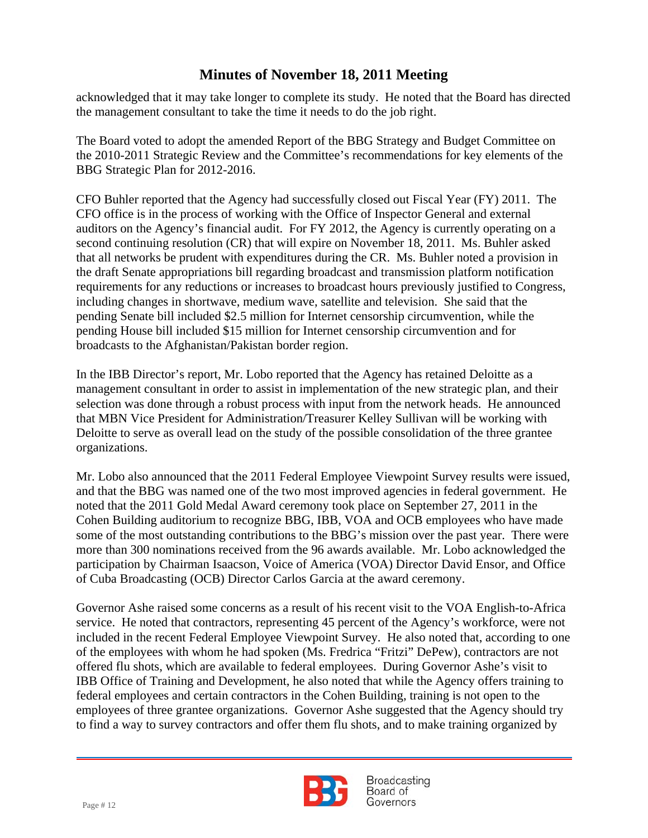acknowledged that it may take longer to complete its study. He noted that the Board has directed the management consultant to take the time it needs to do the job right.

 the 2010-2011 Strategic Review and the Committee's recommendations for key elements of the The Board voted to adopt the amended Report of the BBG Strategy and Budget Committee on BBG Strategic Plan for 2012-2016.

CFO Buhler reported that the Agency had successfully closed out Fiscal Year (FY) 2011. The CFO office is in the process of working with the Office of Inspector General and external auditors on the Agency's financial audit. For FY 2012, the Agency is currently operating on a second continuing resolution (CR) that will expire on November 18, 2011. Ms. Buhler asked that all networks be prudent with expenditures during the CR. Ms. Buhler noted a provision in the draft Senate appropriations bill regarding broadcast and transmission platform notification requirements for any reductions or increases to broadcast hours previously justified to Congress, including changes in shortwave, medium wave, satellite and television. She said that the pending Senate bill included \$2.5 million for Internet censorship circumvention, while the pending House bill included \$15 million for Internet censorship circumvention and for broadcasts to the Afghanistan/Pakistan border region.

In the IBB Director's report, Mr. Lobo reported that the Agency has retained Deloitte as a management consultant in order to assist in implementation of the new strategic plan, and their selection was done through a robust process with input from the network heads. He announced that MBN Vice President for Administration/Treasurer Kelley Sullivan will be working with Deloitte to serve as overall lead on the study of the possible consolidation of the three grantee organizations.

Mr. Lobo also announced that the 2011 Federal Employee Viewpoint Survey results were issued, and that the BBG was named one of the two most improved agencies in federal government. He noted that the 2011 Gold Medal Award ceremony took place on September 27, 2011 in the Cohen Building auditorium to recognize BBG, IBB, VOA and OCB employees who have made some of the most outstanding contributions to the BBG's mission over the past year. There were more than 300 nominations received from the 96 awards available. Mr. Lobo acknowledged the participation by Chairman Isaacson, Voice of America (VOA) Director David Ensor, and Office of Cuba Broadcasting (OCB) Director Carlos Garcia at the award ceremony.

Governor Ashe raised some concerns as a result of his recent visit to the VOA English-to-Africa service. He noted that contractors, representing 45 percent of the Agency's workforce, were not included in the recent Federal Employee Viewpoint Survey. He also noted that, according to one of the employees with whom he had spoken (Ms. Fredrica "Fritzi" DePew), contractors are not offered flu shots, which are available to federal employees. During Governor Ashe's visit to IBB Office of Training and Development, he also noted that while the Agency offers training to federal employees and certain contractors in the Cohen Building, training is not open to the employees of three grantee organizations. Governor Ashe suggested that the Agency should try to find a way to survey contractors and offer them flu shots, and to make training organized by

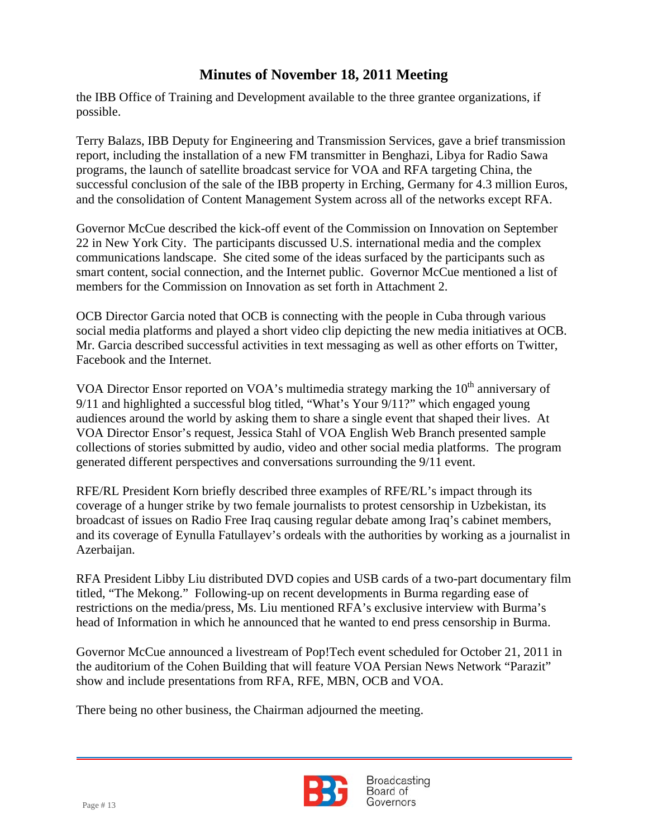the IBB Office of Training and Development available to the three grantee organizations, if possible.

 report, including the installation of a new FM transmitter in Benghazi, Libya for Radio Sawa Terry Balazs, IBB Deputy for Engineering and Transmission Services, gave a brief transmission programs, the launch of satellite broadcast service for VOA and RFA targeting China, the successful conclusion of the sale of the IBB property in Erching, Germany for 4.3 million Euros, and the consolidation of Content Management System across all of the networks except RFA.

Governor McCue described the kick-off event of the Commission on Innovation on September 22 in New York City. The participants discussed U.S. international media and the complex communications landscape. She cited some of the ideas surfaced by the participants such as smart content, social connection, and the Internet public. Governor McCue mentioned a list of members for the Commission on Innovation as set forth in Attachment 2.

OCB Director Garcia noted that OCB is connecting with the people in Cuba through various social media platforms and played a short video clip depicting the new media initiatives at OCB. Mr. Garcia described successful activities in text messaging as well as other efforts on Twitter, Facebook and the Internet.

VOA Director Ensor reported on VOA's multimedia strategy marking the  $10<sup>th</sup>$  anniversary of 9/11 and highlighted a successful blog titled, "What's Your 9/11?" which engaged young audiences around the world by asking them to share a single event that shaped their lives. At VOA Director Ensor's request, Jessica Stahl of VOA English Web Branch presented sample collections of stories submitted by audio, video and other social media platforms. The program generated different perspectives and conversations surrounding the 9/11 event.

RFE/RL President Korn briefly described three examples of RFE/RL's impact through its coverage of a hunger strike by two female journalists to protest censorship in Uzbekistan, its broadcast of issues on Radio Free Iraq causing regular debate among Iraq's cabinet members, and its coverage of Eynulla Fatullayev's ordeals with the authorities by working as a journalist in Azerbaijan.

RFA President Libby Liu distributed DVD copies and USB cards of a two-part documentary film titled, "The Mekong." Following-up on recent developments in Burma regarding ease of restrictions on the media/press, Ms. Liu mentioned RFA's exclusive interview with Burma's head of Information in which he announced that he wanted to end press censorship in Burma.

Governor McCue announced a livestream of Pop!Tech event scheduled for October 21, 2011 in the auditorium of the Cohen Building that will feature VOA Persian News Network "Parazit" show and include presentations from RFA, RFE, MBN, OCB and VOA.

There being no other business, the Chairman adjourned the meeting.

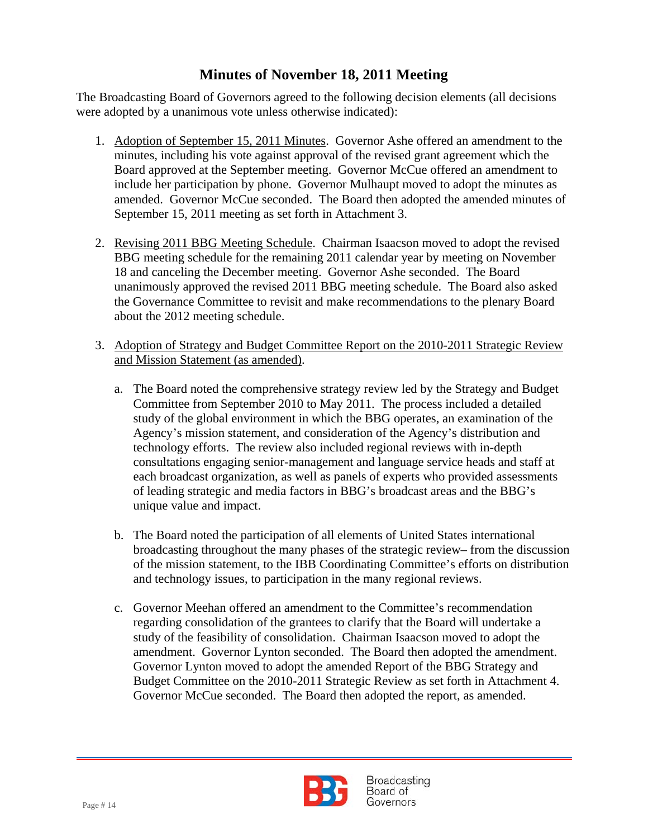The Broadcasting Board of Governors agreed to the following decision elements (all decisions were adopted by a unanimous vote unless otherwise indicated):

- 1. Adoption of September 15, 2011 Minutes. Governor Ashe offered an amendment to the minutes, including his vote against approval of the revised grant agreement which the Board approved at the September meeting. Governor McCue offered an amendment to include her participation by phone. Governor Mulhaupt moved to adopt the minutes as amended. Governor McCue seconded. The Board then adopted the amended minutes of September 15, 2011 meeting as set forth in Attachment 3.
- 2. Revising 2011 BBG Meeting Schedule. Chairman Isaacson moved to adopt the revised BBG meeting schedule for the remaining 2011 calendar year by meeting on November 18 and canceling the December meeting. Governor Ashe seconded. The Board unanimously approved the revised 2011 BBG meeting schedule. The Board also asked the Governance Committee to revisit and make recommendations to the plenary Board about the 2012 meeting schedule.
- 3. Adoption of Strategy and Budget Committee Report on the 2010-2011 Strategic Review and Mission Statement (as amended).
	- a. The Board noted the comprehensive strategy review led by the Strategy and Budget Committee from September 2010 to May 2011. The process included a detailed study of the global environment in which the BBG operates, an examination of the Agency's mission statement, and consideration of the Agency's distribution and technology efforts. The review also included regional reviews with in-depth consultations engaging senior-management and language service heads and staff at each broadcast organization, as well as panels of experts who provided assessments of leading strategic and media factors in BBG's broadcast areas and the BBG's unique value and impact.
	- b. The Board noted the participation of all elements of United States international broadcasting throughout the many phases of the strategic review– from the discussion of the mission statement, to the IBB Coordinating Committee's efforts on distribution and technology issues, to participation in the many regional reviews.
	- c. Governor Meehan offered an amendment to the Committee's recommendation regarding consolidation of the grantees to clarify that the Board will undertake a study of the feasibility of consolidation. Chairman Isaacson moved to adopt the amendment. Governor Lynton seconded. The Board then adopted the amendment. Governor Lynton moved to adopt the amended Report of the BBG Strategy and Budget Committee on the 2010-2011 Strategic Review as set forth in Attachment 4. Governor McCue seconded. The Board then adopted the report, as amended.

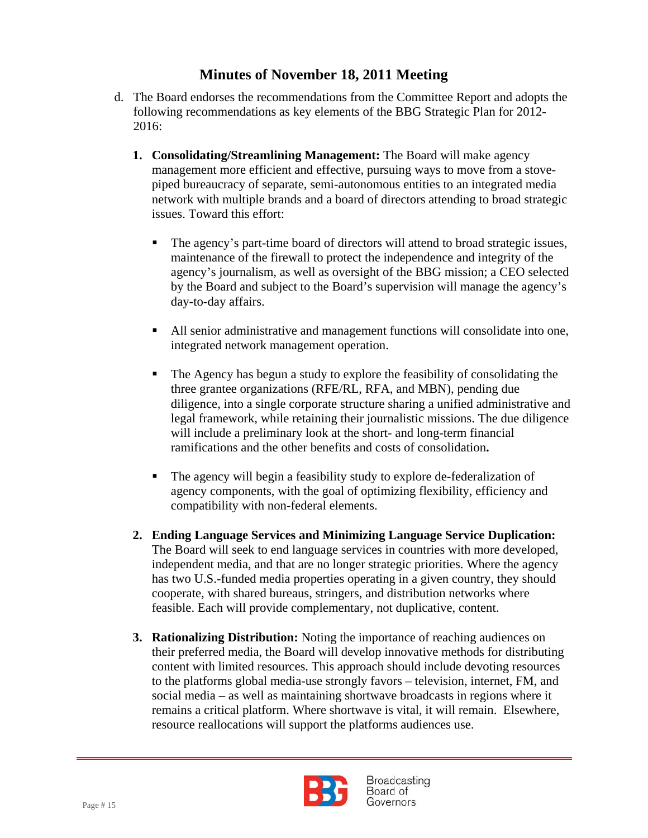- d. The Board endorses the recommendations from the Committee Report and adopts the following recommendations as key elements of the BBG Strategic Plan for 2012- 2016:
	- **1. Consolidating/Streamlining Management:** The Board will make agency management more efficient and effective, pursuing ways to move from a stovepiped bureaucracy of separate, semi-autonomous entities to an integrated media network with multiple brands and a board of directors attending to broad strategic issues. Toward this effort:
		- The agency's part-time board of directors will attend to broad strategic issues, maintenance of the firewall to protect the independence and integrity of the agency's journalism, as well as oversight of the BBG mission; a CEO selected by the Board and subject to the Board's supervision will manage the agency's day-to-day affairs.
		- All senior administrative and management functions will consolidate into one, integrated network management operation.
		- The Agency has begun a study to explore the feasibility of consolidating the three grantee organizations (RFE/RL, RFA, and MBN), pending due diligence, into a single corporate structure sharing a unified administrative and legal framework, while retaining their journalistic missions. The due diligence will include a preliminary look at the short- and long-term financial ramifications and the other benefits and costs of consolidation**.**
		- The agency will begin a feasibility study to explore de-federalization of agency components, with the goal of optimizing flexibility, efficiency and compatibility with non-federal elements.
	- **2. Ending Language Services and Minimizing Language Service Duplication:**  The Board will seek to end language services in countries with more developed, independent media, and that are no longer strategic priorities. Where the agency has two U.S.-funded media properties operating in a given country, they should cooperate, with shared bureaus, stringers, and distribution networks where feasible. Each will provide complementary, not duplicative, content.
	- **3. Rationalizing Distribution:** Noting the importance of reaching audiences on their preferred media, the Board will develop innovative methods for distributing content with limited resources. This approach should include devoting resources to the platforms global media-use strongly favors – television, internet, FM, and social media – as well as maintaining shortwave broadcasts in regions where it remains a critical platform. Where shortwave is vital, it will remain. Elsewhere, resource reallocations will support the platforms audiences use.

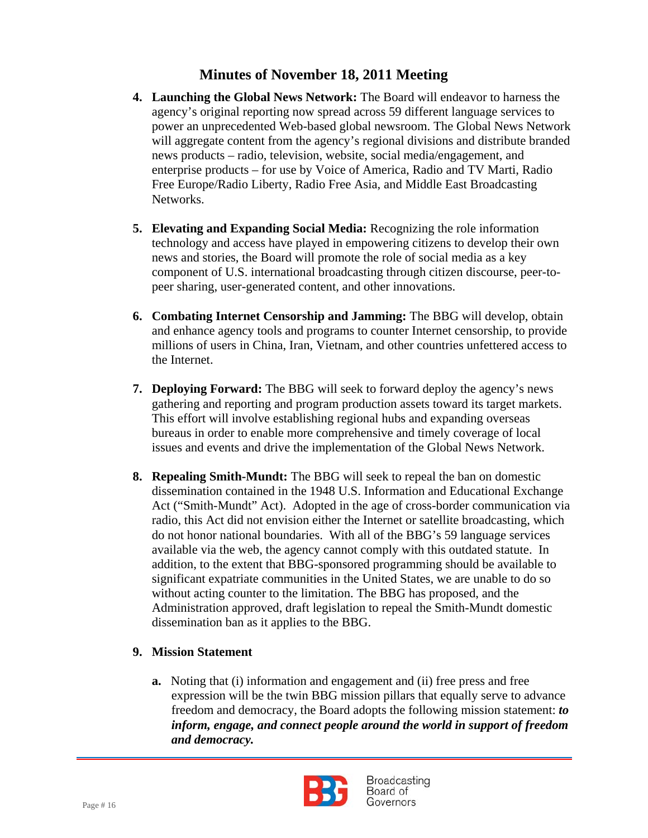- **4. Launching the Global News Network:** The Board will endeavor to harness the agency's original reporting now spread across 59 different language services to power an unprecedented Web-based global newsroom. The Global News Network will aggregate content from the agency's regional divisions and distribute branded news products – radio, television, website, social media/engagement, and enterprise products – for use by Voice of America, Radio and TV Marti, Radio Free Europe/Radio Liberty, Radio Free Asia, and Middle East Broadcasting Networks.
- **5. Elevating and Expanding Social Media:** Recognizing the role information technology and access have played in empowering citizens to develop their own news and stories, the Board will promote the role of social media as a key component of U.S. international broadcasting through citizen discourse, peer-topeer sharing, user-generated content, and other innovations.
- **6. Combating Internet Censorship and Jamming:** The BBG will develop, obtain and enhance agency tools and programs to counter Internet censorship, to provide millions of users in China, Iran, Vietnam, and other countries unfettered access to the Internet.
- **7. Deploying Forward:** The BBG will seek to forward deploy the agency's news gathering and reporting and program production assets toward its target markets. This effort will involve establishing regional hubs and expanding overseas bureaus in order to enable more comprehensive and timely coverage of local issues and events and drive the implementation of the Global News Network.
- **8. Repealing Smith-Mundt:** The BBG will seek to repeal the ban on domestic dissemination contained in the 1948 U.S. Information and Educational Exchange Act ("Smith-Mundt" Act). Adopted in the age of cross-border communication via radio, this Act did not envision either the Internet or satellite broadcasting, which do not honor national boundaries. With all of the BBG's 59 language services available via the web, the agency cannot comply with this outdated statute. In addition, to the extent that BBG-sponsored programming should be available to significant expatriate communities in the United States, we are unable to do so without acting counter to the limitation. The BBG has proposed, and the Administration approved, draft legislation to repeal the Smith-Mundt domestic dissemination ban as it applies to the BBG.

### **9. Mission Statement**

**a.** Noting that (i) information and engagement and (ii) free press and free expression will be the twin BBG mission pillars that equally serve to advance freedom and democracy, the Board adopts the following mission statement: *to inform, engage, and connect people around the world in support of freedom and democracy.*

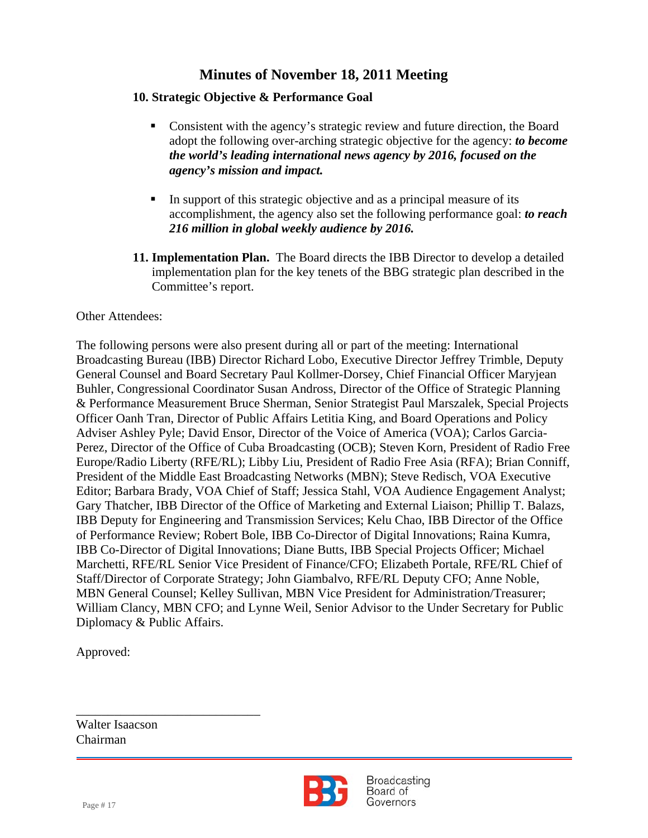### **10. Strategic Objective & Performance Goal**

- Consistent with the agency's strategic review and future direction, the Board adopt the following over-arching strategic objective for the agency: *to become the world's leading international news agency by 2016, focused on the agency's mission and impact.*
- In support of this strategic objective and as a principal measure of its accomplishment, the agency also set the following performance goal: *to reach 216 million in global weekly audience by 2016.*
- **11. Implementation Plan.** The Board directs the IBB Director to develop a detailed implementation plan for the key tenets of the BBG strategic plan described in the Committee's report.

### Other Attendees:

The following persons were also present during all or part of the meeting: International Broadcasting Bureau (IBB) Director Richard Lobo, Executive Director Jeffrey Trimble, Deputy General Counsel and Board Secretary Paul Kollmer-Dorsey, Chief Financial Officer Maryjean Buhler, Congressional Coordinator Susan Andross, Director of the Office of Strategic Planning & Performance Measurement Bruce Sherman, Senior Strategist Paul Marszalek, Special Projects Officer Oanh Tran, Director of Public Affairs Letitia King, and Board Operations and Policy Adviser Ashley Pyle; David Ensor, Director of the Voice of America (VOA); Carlos Garcia-Perez, Director of the Office of Cuba Broadcasting (OCB); Steven Korn, President of Radio Free Europe/Radio Liberty (RFE/RL); Libby Liu, President of Radio Free Asia (RFA); Brian Conniff, President of the Middle East Broadcasting Networks (MBN); Steve Redisch, VOA Executive Editor; Barbara Brady, VOA Chief of Staff; Jessica Stahl, VOA Audience Engagement Analyst; Gary Thatcher, IBB Director of the Office of Marketing and External Liaison; Phillip T. Balazs, IBB Deputy for Engineering and Transmission Services; Kelu Chao, IBB Director of the Office of Performance Review; Robert Bole, IBB Co-Director of Digital Innovations; Raina Kumra, IBB Co-Director of Digital Innovations; Diane Butts, IBB Special Projects Officer; Michael Marchetti, RFE/RL Senior Vice President of Finance/CFO; Elizabeth Portale, RFE/RL Chief of Staff/Director of Corporate Strategy; John Giambalvo, RFE/RL Deputy CFO; Anne Noble, MBN General Counsel; Kelley Sullivan, MBN Vice President for Administration/Treasurer; William Clancy, MBN CFO; and Lynne Weil, Senior Advisor to the Under Secretary for Public Diplomacy & Public Affairs.

Approved:

Walter Isaacson Chairman

\_\_\_\_\_\_\_\_\_\_\_\_\_\_\_\_\_\_\_\_\_\_\_\_\_\_\_\_\_